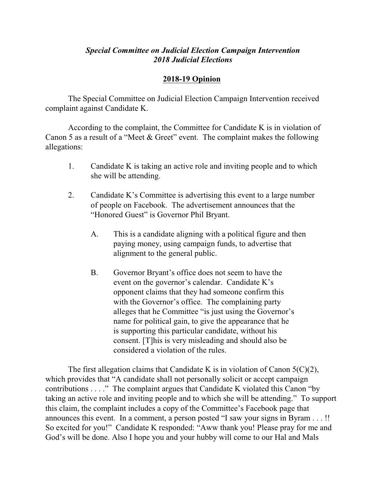## *Special Committee on Judicial Election Campaign Intervention 2018 Judicial Elections*

## **2018-19 Opinion**

The Special Committee on Judicial Election Campaign Intervention received complaint against Candidate K.

According to the complaint, the Committee for Candidate K is in violation of Canon 5 as a result of a "Meet & Greet" event. The complaint makes the following allegations:

- 1. Candidate K is taking an active role and inviting people and to which she will be attending.
- 2. Candidate K's Committee is advertising this event to a large number of people on Facebook. The advertisement announces that the "Honored Guest" is Governor Phil Bryant.
	- A. This is a candidate aligning with a political figure and then paying money, using campaign funds, to advertise that alignment to the general public.
	- B. Governor Bryant's office does not seem to have the event on the governor's calendar. Candidate K's opponent claims that they had someone confirm this with the Governor's office. The complaining party alleges that he Committee "is just using the Governor's name for political gain, to give the appearance that he is supporting this particular candidate, without his consent. [T]his is very misleading and should also be considered a violation of the rules.

The first allegation claims that Candidate K is in violation of Canon  $5(C)(2)$ , which provides that "A candidate shall not personally solicit or accept campaign contributions . . . ." The complaint argues that Candidate K violated this Canon "by taking an active role and inviting people and to which she will be attending." To support this claim, the complaint includes a copy of the Committee's Facebook page that announces this event. In a comment, a person posted "I saw your signs in Byram . . . !! So excited for you!" Candidate K responded: "Aww thank you! Please pray for me and God's will be done. Also I hope you and your hubby will come to our Hal and Mals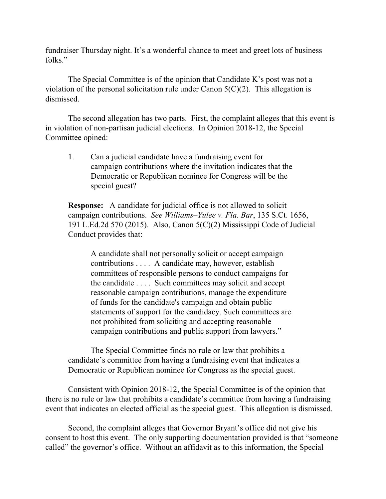fundraiser Thursday night. It's a wonderful chance to meet and greet lots of business folks"

The Special Committee is of the opinion that Candidate K's post was not a violation of the personal solicitation rule under Canon  $5(C)(2)$ . This allegation is dismissed.

The second allegation has two parts. First, the complaint alleges that this event is in violation of non-partisan judicial elections. In Opinion 2018-12, the Special Committee opined:

1. Can a judicial candidate have a fundraising event for campaign contributions where the invitation indicates that the Democratic or Republican nominee for Congress will be the special guest?

**Response:** A candidate for judicial office is not allowed to solicit campaign contributions. *See Williams–Yulee v. Fla. Bar*, 135 S.Ct. 1656, 191 L.Ed.2d 570 (2015). Also, Canon 5(C)(2) Mississippi Code of Judicial Conduct provides that:

A candidate shall not personally solicit or accept campaign contributions . . . . A candidate may, however, establish committees of responsible persons to conduct campaigns for the candidate . . . . Such committees may solicit and accept reasonable campaign contributions, manage the expenditure of funds for the candidate's campaign and obtain public statements of support for the candidacy. Such committees are not prohibited from soliciting and accepting reasonable campaign contributions and public support from lawyers."

The Special Committee finds no rule or law that prohibits a candidate's committee from having a fundraising event that indicates a Democratic or Republican nominee for Congress as the special guest.

Consistent with Opinion 2018-12, the Special Committee is of the opinion that there is no rule or law that prohibits a candidate's committee from having a fundraising event that indicates an elected official as the special guest. This allegation is dismissed.

Second, the complaint alleges that Governor Bryant's office did not give his consent to host this event. The only supporting documentation provided is that "someone called" the governor's office. Without an affidavit as to this information, the Special